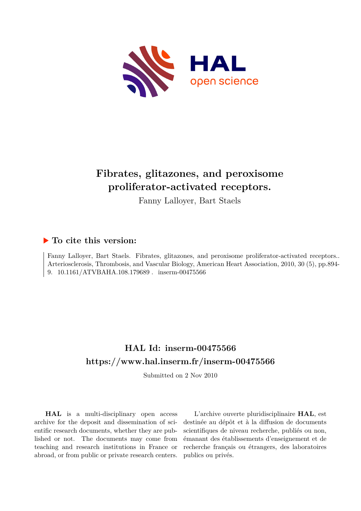

# **Fibrates, glitazones, and peroxisome proliferator-activated receptors.**

Fanny Lalloyer, Bart Staels

## **To cite this version:**

Fanny Lalloyer, Bart Staels. Fibrates, glitazones, and peroxisome proliferator-activated receptors.. Arteriosclerosis, Thrombosis, and Vascular Biology, American Heart Association, 2010, 30 (5), pp.894- 9.  $10.1161/ATVBAHA.108.179689$ . inserm-00475566

# **HAL Id: inserm-00475566 <https://www.hal.inserm.fr/inserm-00475566>**

Submitted on 2 Nov 2010

**HAL** is a multi-disciplinary open access archive for the deposit and dissemination of scientific research documents, whether they are published or not. The documents may come from teaching and research institutions in France or abroad, or from public or private research centers.

L'archive ouverte pluridisciplinaire **HAL**, est destinée au dépôt et à la diffusion de documents scientifiques de niveau recherche, publiés ou non, émanant des établissements d'enseignement et de recherche français ou étrangers, des laboratoires publics ou privés.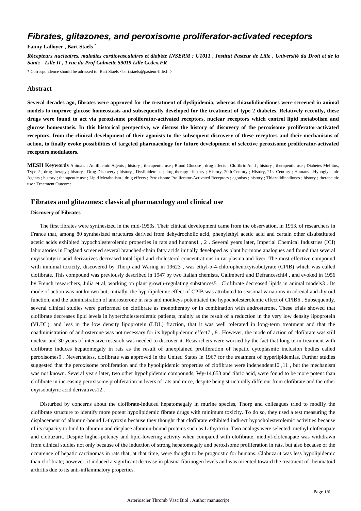## *Fibrates, glitazones, and peroxisome proliferator-activated receptors*

## **Fanny Lalloyer , Bart Staels** \*

*R*é*cepteurs nucl*é*aires, maladies cardiovasculaires et diab*è*te INSERM : U1011 , Institut Pasteur de Lille , Universit*é *du Droit et de la Sant*é *- Lille II , 1 rue du Prof Calmette 59019 Lille Cedex,FR*

\* Correspondence should be adressed to: Bart Staels <bart.staels@pasteur-lille.fr >

## **Abstract**

**Several decades ago, fibrates were approved for the treatment of dyslipidemia, whereas thiazolidinediones were screened in animal models to improve glucose homeostasis and subsequently developed for the treatment of type 2 diabetes. Relatively recently, these drugs were found to act via peroxisome proliferator-activated receptors, nuclear receptors which control lipid metabolism and glucose homeostasis. In this historical perspective, we discuss the history of discovery of the peroxisome proliferator-activated receptors, from the clinical development of their agonists to the subsequent discovery of these receptors and their mechanisms of action, to finally evoke possibilities of targeted pharmacology for future development of selective peroxisome proliferator-activated receptors modulators.**

**MESH Keywords** Animals ; Antilipemic Agents ; history ; therapeutic use ; Blood Glucose ; drug effects ; Clofibric Acid ; history ; therapeutic use ; Diabetes Mellitus, Type 2 ; drug therapy ; history ; Drug Discovery ; history ; Dyslipidemias ; drug therapy ; history ; History, 20th Century ; History, 21st Century ; Humans ; Hypoglycemic Agents ; history ; therapeutic use ; Lipid Metabolism ; drug effects ; Peroxisome Proliferator-Activated Receptors ; agonists ; history ; Thiazolidinediones ; history ; therapeutic use ; Treatment Outcome

## **Fibrates and glitazones: classical pharmacology and clinical use**

#### **Discovery of Fibrates**

The first fibrates were synthesized in the mid-1950s. Their clinical development came from the observation, in 1953, of researchers in France that, among 80 synthesized structures derived from dehydrocholic acid, phenylethyl acetic acid and certain other disubstituted acetic acids exhibited hypocholesterolemic properties in rats and humans1 , 2 . Several years later, Imperial Chemical Industries (ICI) laboratories in England screened several branched-chain fatty acids initially developed as plant hormone analogues and found that several oxyisobutyric acid derivatives decreased total lipid and cholesterol concentrations in rat plasma and liver. The most effective compound with minimal toxicity, discovered by Thorp and Waring in 19623 , was ethyl-α-4-chlorophenoxyisobutyrate (CPIB) which was called clofibrate. This compound was previously described in 1947 by two Italian chemists, Galimberti and Defranceschi4 , and evoked in 1956 by French researchers, Julia et al, working on plant growth-regulating substances5 . Clofibrate decreased lipids in animal models3 . Its mode of action was not known but, initially, the hypolipidemic effect of CPIB was attributed to seasonal variations in adrenal and thyroid function, and the administration of androsterone in rats and monkeys potentiated the hypocholesterolemic effect of CPIB6 . Subsequently, several clinical studies were performed on clofibrate as monotherapy or in combination with androsterone. These trials showed that clofibrate decreases lipid levels in hypercholesterolemic patients, mainly as the result of a reduction in the very low density lipoprotein (VLDL), and less in the low density lipoprotein (LDL) fraction, that it was well tolerated in long-term treatment and that the coadministration of androsterone was not necessary for its hypolipidemic effect7 , 8 . However, the mode of action of clofibrate was still unclear and 30 years of intensive research was needed to discover it. Researchers were worried by the fact that long-term treatment with clofibrate induces hepatomegaly in rats as the result of unexplained proliferation of hepatic cytoplasmic inclusion bodies called peroxisomes9 . Nevertheless, clofibrate was approved in the United States in 1967 for the treatment of hyperlipidemias. Further studies suggested that the peroxisome proliferation and the hypolipidemic properties of clofibrate were independent10 ,11 , but the mechanism was not known. Several years later, two other hypolipidemic compounds, Wy-14,653 and tibric acid, were found to be more potent than clofibrate in increasing peroxisome proliferation in livers of rats and mice, despite being structurally different from clofibrate and the other oxyisobutyric acid derivatives12 .

Disturbed by concerns about the clofibrate-induced hepatomegaly in murine species, Thorp and colleagues tried to modify the clofibrate structure to identify more potent hypolipidemic fibrate drugs with minimum toxicity. To do so, they used a test measuring the displacement of albumin-bound L-thyroxin because they thought that clofibrate exhibited indirect hypocholesterolemic activities because of its capacity to bind to albumin and displace albumin-bound proteins such as L-thyroxin. Two analogs were selected: methyl-clofenapate and clobuzarit. Despite higher-potency and lipid-lowering activity when compared with clofibrate, methyl-clofenapate was withdrawn from clinical studies not only because of the induction of strong hepatomegaly and peroxisome proliferation in rats, but also because of the occurence of hepatic carcinomas in rats that, at that time, were thought to be prognostic for humans. Clobuzarit was less hypolipidemic than clofibrate; however, it induced a significant decrease in plasma fibrinogen levels and was oriented toward the treatment of rheumatoid arthritis due to its anti-inflammatory properties.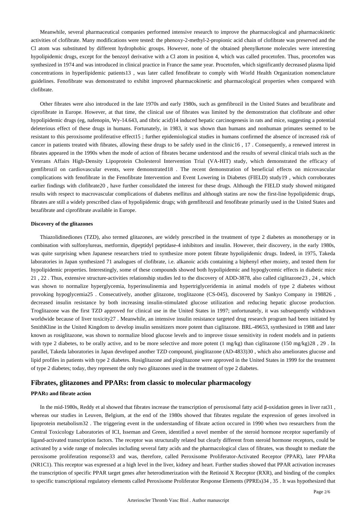Meanwhile, several pharmaceutical companies performed intensive research to improve the pharmacological and pharmacokinetic activities of clofibrate. Many modifications were tested: the phenoxy-2-methyl-2-propionic acid chain of clofibrate was preserved and the Cl atom was substituted by different hydrophobic groups. However, none of the obtained phenylketone molecules were interesting hypolipidemic drugs, except for the benzoyl derivative with a Cl atom in position 4, which was called procetofen. Thus, procetofen was synthesized in 1974 and was introduced in clinical practice in France the same year. Procetofen, which significantly decreased plasma lipid concentrations in hyperlipidemic patients13 , was later called fenofibrate to comply with World Health Organization nomenclature guidelines. Fenofibrate was demonstrated to exhibit improved pharmacokinetic and pharmacological properties when compared with clofibrate.

Other fibrates were also introduced in the late 1970s and early 1980s, such as gemfibrozil in the United States and bezafibrate and ciprofibrate in Europe. However, at that time, the clinical use of fibrates was limited by the demonstration that clofibrate and other hypolipidemic drugs (eg, nafenopin, Wy-14.643, and tibric acid)14 induced hepatic carcinogenesis in rats and mice, suggesting a potential deleterious effect of these drugs in humans. Fortunately, in 1983, it was shown than humans and nonhuman primates seemed to be resistant to this peroxisome proliferative effect15 ; further epidemiological studies in humans confirmed the absence of increased risk of cancer in patients treated with fibrates, allowing these drugs to be safely used in the clinic16 , 17 . Consequently, a renewed interest in fibrates appeared in the 1990s when the mode of action of fibrates became understood and the results of several clinical trials such as the Veterans Affairs High-Density Lipoprotein Cholesterol Intervention Trial (VA-HIT) study, which demonstrated the efficacy of gemfibrozil on cardiovascular events, were demonstrated18 . The recent demonstration of beneficial effects on microvascular complications with fenofibrate in the Fenofibrate Intervention and Event Lowering in Diabetes (FIELD) study19 , which corroborates earlier findings with clofibrate20 , have further consolidated the interest for these drugs. Although the FIELD study showed mitigated results with respect to macrovascular complications of diabetes mellitus and although statins are now the first-line hypolipidemic drugs, fibrates are still a widely prescribed class of hypolipidemic drugs; with gemfibrozil and fenofibrate primarily used in the United States and bezafibrate and ciprofibrate available in Europe.

## **Discovery of the glitazones**

Thiazolidinediones (TZD), also termed glitazones, are widely prescribed in the treatment of type 2 diabetes as monotherapy or in combination with sulfonylureas, metformin, dipeptidyl peptidase-4 inhibitors and insulin. However, their discovery, in the early 1980s, was quite surprising when Japanese researchers tried to synthesize more potent fibrate hypolipidemic drugs. Indeed, in 1975, Takeda laboratories in Japan synthesized 71 analogues of clofibrate, i.e. alkanoic acids containing a biphenyl ether moiety, and tested them for hypolipidemic properties. Interestingly, some of these compounds showed both hypolipidemic and hypoglycemic effects in diabetic mice 21 , 22 . Thus, extensive structure-activities relationship studies led to the discovery of ADD-3878, also called ciglitazone23 , 24 , which was shown to normalize hyperglycemia, hyperinsulinemia and hypertriglyceridemia in animal models of type 2 diabetes without provoking hypoglycemia25 . Consecutively, another glitazone, troglitazone (CS-045), discovered by Sankyo Company in 198826 , decreased insulin resistance by both increasing insulin-stimulated glucose utilization and reducing hepatic glucose production. Troglitazone was the first TZD approved for clinical use in the United States in 1997; unfortunately, it was subsequently withdrawn worldwide because of liver toxicity27 . Meanwhile, an intensive insulin resistance targeted drug research program had been initiated by SmithKline in the United Kingdom to develop insulin sensitizers more potent than ciglitazone. BRL-49653, synthesized in 1988 and later known as rosiglitazone, was shown to normalize blood glucose levels and to improve tissue sensitivity in rodent models and in patients with type 2 diabetes, to be orally active, and to be more selective and more potent  $(1 \text{ mg/kg})$  than ciglitazone  $(150 \text{ mg/kg})28$ ,  $29$ . In parallel, Takeda laboratories in Japan developed another TZD compound, pioglitazone (AD-4833)30 , which also ameliorates glucose and lipid profiles in patients with type 2 diabetes. Rosiglitazone and pioglitazone were approved in the United States in 1999 for the treatment of type 2 diabetes; today, they represent the only two glitazones used in the treatment of type 2 diabetes.

## **Fibrates, glitazones and PPARs: from classic to molecular pharmacology**

### **PPAR**α **and fibrate action**

In the mid-1980s, Reddy et al showed that fibrates increase the transcription of peroxisomal fatty acid β-oxidation genes in liver rat31 , whereas our studies in Leuven, Belgium, at the end of the 1980s showed that fibrates regulate the expression of genes involved in lipoprotein metabolism32 . The triggering event in the understanding of fibrate action occured in 1990 when two researchers from the Central Toxicology Laboratories of ICI, Isseman and Green, identified a novel member of the steroid hormone receptor superfamily of ligand-activated transcription factors. The receptor was structurally related but clearly different from steroid hormone receptors, could be activated by a wide range of molecules including several fatty acids and the pharmacological class of fibrates, was thought to mediate the peroxisome proliferation response33 and was, therefore, called Peroxisome Proliferator-Activated Receptor (PPAR), later PPARα (NR1C1). This receptor was expressed at a high level in the liver, kidney and heart. Further studies showed that PPAR activation increases the transcription of specific PPAR target genes after heterodimerization with the Retinoid X Receptor (RXR), and binding of the complex to specific transcriptional regulatory elements called Peroxisome Proliferator Response Elements (PPREs)34 , 35 . It was hypothesized that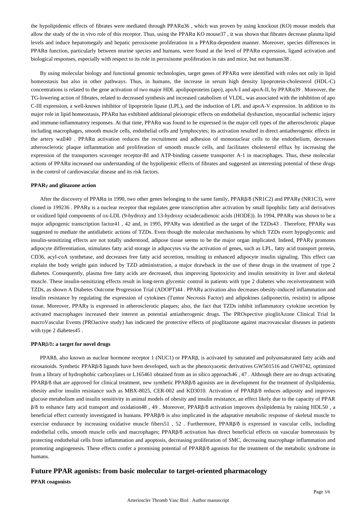the hypolipidemic effects of fibrates were mediated through PPARα36 , which was proven by using knockout (KO) mouse models that allow the study of the in vivo role of this receptor. Thus, using the PPARα KO mouse37 , it was shown that fibrates decrease plasma lipid levels and induce hepatomegaly and hepatic peroxisome proliferation in a PPARα-dependent manner. Moreover, species differences in PPARα function, particularly between murine species and humans, were found at the level of PPARα expression, ligand activation and biological responses, especially with respect to its role in peroxisome proliferation in rats and mice, but not humans38 .

By using molecular biology and functional genomic technologies, target genes of PPARα were identified with roles not only in lipid homeostasis but also in other pathways. Thus, in humans, the increase in serum high density lipoprotein-cholesterol (HDL-C) concentrations is related to the gene activation of two major HDL apolipoproteins (apo), apoA-I and apoA-II, by PPARα39 . Moreover, the TG-lowering action of fibrates, related to decreased synthesis and increased catabolism of VLDL, was associated with the inhibition of apo C-III expression, a well-known inhibitor of lipoprotein lipase (LPL), and the induction of LPL and apoA-V expression. In addition to its major role in lipid homeostasis, PPARα has exhibited additional pleiotropic effects on endothelial dysfunction, myocardial ischemic injury and immune-inflammatory responses. At that time, PPARα was found to be expressed in the major cell types of the atherosclerotic plaque including macrophages, smooth muscle cells, endothelial cells and lymphocytes; its activation resulted in direct antiatherogenic effects in the artery wall40 . PPARα activation reduces the recruitment and adhesion of mononuclear cells to the endothelium, decreases atherosclerotic plaque inflammation and proliferation of smooth muscle cells, and facilitates cholesterol efflux by increasing the expression of the transporters scavenger receptor-BI and ATP-binding cassette transporter A-1 in macrophages. Thus, these molecular actions of PPARα increased our understanding of the hypolipemic effects of fibrates and suggested an interesting potential of these drugs in the control of cardiovascular disease and its risk factors.

### **PPAR**γ **and glitazone action**

After the discovery of PPARα in 1990, two other genes belonging to the same family, PPARβ/δ (NR1C2) and PPARγ (NR1C3), were cloned in 199236 . PPARγ is a nuclear receptor that regulates gene transcription after activation by small lipophilic fatty acid derivatives or oxidized lipid components of ox-LDL (9-hydroxy and 13-hydroxy octadecadienoic acids (HODE)). In 1994, PPARγ was shown to be a major adipogenic transcription factor41 , 42 and, in 1995, PPARγ was identified as the target of the TZDs43 . Therefore, PPARγ was suggested to mediate the antidiabetic actions of TZDs. Even though the molecular mechanisms by which TZDs exert hypoglycemic and insulin-sensitizing effects are not totally understood, adipose tissue seems to be the major organ implicated. Indeed, PPARγ promotes adipocyte differentiation, stimulates fatty acid storage in adipocytes via the activation of genes, such as LPL, fatty acid transport protein, CD36, acyl-coA synthetase, and decreases free fatty acid secretion, resulting in enhanced adipocyte insulin signaling. This effect can explain the body weight gain induced by TZD administration, a major drawback in the use of these drugs in the treatment of type 2 diabetes. Consequently, plasma free fatty acids are decreased, thus improving lipotoxicity and insulin sensitivity in liver and skeletal muscle. These insulin-sensitizing effects result in long-term glycemic control in patients with type 2 diabetes who receivetreatment with TZDs, as shown A Diabetes Outcome Progression Trial (ADOPT)44 . PPARγ activation also decreases obesity-induced inflammation and insulin resistance by regulating the expression of cytokines (Tumor Necrosis Factor) and adipokines (adiponectin, resistin) in adipose tissue. Moreover, PPARγ is expressed in atherosclerotic plaques; also, the fact that TZDs inhibit inflammatory cytokine secretion by activated macrophages increased their interest as potential antiatherogenic drugs. The PROspective pioglitAzone Clinical Trial In macroVascular Events (PROactive study) has indicated the protective effects of pioglitazone against macrovascular diseases in patients with type 2 diabetes45 .

## **PPAR**β**/**δ**: a target for novel drugs**

PPARδ, also known as nuclear hormone receptor 1 (NUC1) or PPARβ, is activated by saturated and polyunsaturated fatty acids and eicosanoids. Synthetic PPARβ/δ ligands have been developed, such as the phenoxyacetic derivatives GW501516 and GW0742, optimized from a library of hydrophobic carboxylates or L165461 obtained from an in silico approach46 , 47 . Although there are no drugs activating PPARβ/δ that are approved for clinical treatment, new synthetic PPARβ/δ agonists are in development for the treatment of dyslipidemia, obesity and/or insulin resistance such as MBX-8025, CER-002 and KD3010. Activation of PPARβ/δ reduces adiposity and improves glucose metabolism and insulin sensitivity in animal models of obesity and insulin resistance, an effect likely due to the capacity of PPAR β/δ to enhance fatty acid transport and oxidation48 , 49 . Moreover, PPARβ/δ activation improves dyslipidemia by raising HDL50 , a beneficial effect currently investigated in humans. PPARβ/δ is also implicated in the adaptative metabolic response of skeletal muscle to exercise endurance by increasing oxidative muscle fibers51 , 52 . Furthermore, PPARβ/δ is expressed in vascular cells, including endothelial cells, smooth muscle cells and macrophages; PPARβ/δ activation has direct beneficial effects on vascular homeostasis by protecting endothelial cells from inflammation and apoptosis, decreasing proliferation of SMC, decreasing macrophage inflammation and promoting angiogenesis. These effects confer a promising potential of PPARβ/δ agonists for the treatment of the metabolic syndrome in humans.

## **Future PPAR agonists: from basic molecular to target-oriented pharmacology**

## **PPAR coagonists**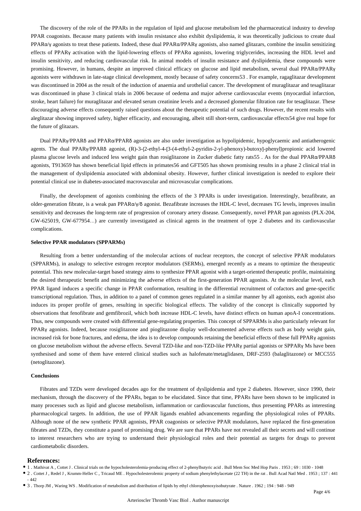The discovery of the role of the PPARs in the regulation of lipid and glucose metabolism led the pharmaceutical industry to develop PPAR coagonists. Because many patients with insulin resistance also exhibit dyslipidemia, it was theoretically judicious to create dual PPAR $\alpha$ /γ agonists to treat these patients. Indeed, these dual PPAR $\alpha$ /PPARγ agonists, also named glitazars, combine the insulin sensitizing effects of PPARγ activation with the lipid-lowering effects of PPARα agonists, lowering triglycerides, increasing the HDL level and insulin sensitivity, and reducing cardiovascular risk. In animal models of insulin resistance and dyslipidemia, these compounds were promising. However, in humans, despite an improved clinical efficacy on glucose and lipid metabolism, several dual PPARα/PPARγ agonists were withdrawn in late-stage clinical development, mostly because of safety concerns53 . For example, ragaglitazar development was discontinued in 2004 as the result of the induction of anaemia and urothelial cancer. The development of muraglitazar and tesaglitazar was discontinued in phase 3 clinical trials in 2006 because of oedema and major adverse cardiovascular events (myocardial infarction, stroke, heart failure) for muraglitazar and elevated serum creatinine levels and a decreased glomerular filtration rate for tesaglitazar. These discouraging adverse effects consequently raised questions about the therapeutic potential of such drugs. However, the recent results with aleglitazar showing improved safety, higher efficacity, and encouraging, albeit still short-term, cardiovascular effects54 give real hope for the future of glitazars.

Dual PPARγ/PPARδ and PPARα/PPARδ agonists are also under investigation as hypolipidemic, hypoglycaemic and antiatherogenic agents. The dual PPARγ/PPARδ agonist, (R)-3-{2-ethyl-4-[3-(4-ethyl-2-pyridin-2-yl-phenoxy)-butoxy]-phenyl}propionic acid lowered plasma glucose levels and induced less weight gain than rosiglitazone in Zucker diabetic fatty rats55 . As for the dual PPARα/PPARδ agonists, T913659 has shown beneficial lipid effects in primates56 and GFT505 has shown promising results in a phase 2 clinical trial in the management of dyslipidemia associated with abdominal obesity. However, further clinical investigation is needed to explore their potential clinical use in diabetes-associated macrovascular and microvascular complications.

Finally, the development of agonists combining the effects of the 3 PPARs is under investigation. Interestingly, bezafibrate, an older-generation fibrate, is a weak pan PPARα/γ/δ agonist. Bezafibrate increases the HDL-C level, decreases TG levels, improves insulin sensitivity and decreases the long-term rate of progression of coronary artery disease. Consequently, novel PPAR pan agonists (PLX-204, GW-625019, GW-677954…) are currently investigated as clinical agents in the treatment of type 2 diabetes and its cardiovascular complications.

### **Selective PPAR modulators (SPPARMs)**

Resulting from a better understanding of the molecular actions of nuclear receptors, the concept of selective PPAR modulators (SPPARMs), in analogy to selective estrogen receptor modulators (SERMs), emerged recently as a means to optimize the therapeutic potential. This new molecular-target based strategy aims to synthesize PPAR agonist with a target-oriented therapeutic profile, maintaining the desired therapeutic benefit and minimizing the adverse effects of the first-generation PPAR agonists. At the molecular level, each PPAR ligand induces a specific change in PPAR conformation, resulting in the differential recruitment of cofactors and gene-specific transcriptional regulation. Thus, in addition to a panel of common genes regulated in a similar manner by all agonists, each agonist also induces its proper profile of genes, resulting in specific biological effects. The validity of the concept is clinically supported by observations that fenofibrate and gemfibrozil, which both increase HDL-C levels, have distinct effects on human apoA-I concentrations. Thus, new compounds were created with differential gene-regulating properties. This concept of SPPARMs is also particularly relevant for PPAR<sub>Y</sub> agonists. Indeed, because rosiglitazone and pioglitazone display well-documented adverse effects such as body weight gain, increased risk for bone fractures, and edema, the idea is to develop compounds retaining the beneficial effects of these full PPARγ agonists on glucose metabolism without the adverse effects. Several TZD-like and non-TZD-like PPAR<sub>V</sub> partial agonists or SPPAR<sub>V</sub> Ms have been synthesised and some of them have entered clinical studies such as halofenate/metaglidasen, DRF-2593 (balaglitazone) or MCC555 (netoglitazone).

#### **Conclusions**

Fibrates and TZDs were developed decades ago for the treatment of dyslipidemia and type 2 diabetes. However, since 1990, their mechanism, through the discovery of the PPARs, began to be elucidated. Since that time, PPARs have been shown to be implicated in many processes such as lipid and glucose metabolism, inflammation or cardiovascular functions, thus presenting PPARs as interesting pharmacological targets. In addition, the use of PPAR ligands enabled advancements regarding the physiological roles of PPARs. Although none of the new synthetic PPAR agonists, PPAR coagonists or selective PPAR modulators, have replaced the first-generation fibrates and TZDs, they constitute a panel of promising drug. We are sure that PPARs have not revealed all their secrets and will continue to interest researchers who are trying to understand their physiological roles and their potential as targets for drugs to prevent cardiometabolic disorders.

### **References:**

- 1 . Mathivat A , Cottet J . Clinical trials on the hypocholesterolemia-producing effect of 2-phenylbutyric acid . Bull Mem Soc Med Hop Paris . 1953 ; 69 : 1030 1048
- 2 . Cottet J , Redel J , Krumm-Heller C , Tricaud ME . Hypocholesterolemic property of sodium phenylethylacetate (22 TH) in the rat . Bull Acad Natl Med . 1953 ; 137 : 441 - 442
- 3 . Thorp JM , Waring WS . Modification of metabolism and distribution of lipids by ethyl chlorophenoxyisobutyrate . Nature . 1962 ; 194 : 948 949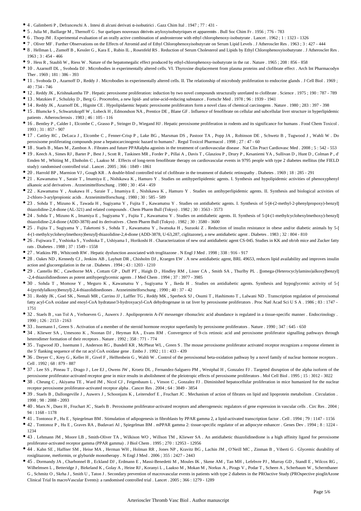- 4 . Galimberti P , Defranceschi A . Intesi di alcuni derivati α-isobutirici . Gazz Chim Ital . 1947 ; 77 : 431 -
- 5 . Julia M , Baillarge M , Thernoff G . Sur quelques nouveaux dérivés aryloxyisobutyriques et apparentés . Bull Soc Chim Fr . 1956 ; 776 783
- 6 . Thorp JM . Experimental evaluation of an orally active combination of androsterone with ethyl chlorophenoxy-isobutyrate . Lancet . 1962 ; 1 : 1323 1326
- 7 . Oliver MF . Further Observations on the Effects of Atromid and of Ethyl Chlorophenoxyisobutyrate on Serum Lipid Levels . J Atheroscler Res . 1963 ; 3 : 427 444
- 8 . Hellman L , Zumoff B , Kessler G , Kara E , Rubin IL , Rosenfeld RS . Reduction of Serum Cholesterol and Lipids by Ethyl Chlorophenoxyisobutyrate . J Atheroscler Res . 1963 ; 3 : 454 - 466
- 9 . Hess R , Staubli W , Riess W . Nature of the hepatomegalic effect produced by ethyl-chlorophenoxy-isobutyrate in the rat . Nature . 1965 ; 208 : 856 858
- 10 . Azarnoff DL , Svoboda DJ . Microbodies in experimentally altered cells. VI. Thyroxine displacement from plasma proteins and clofibrate effect . Arch Int Pharmacodyn Ther . 1969 ; 181 : 386 - 393
- 11 . Svoboda D , Azarnoff D , Reddy J . Microbodies in experimentally altered cells. II. The relationship of microbody proliferation to endocrine glands . J Cell Biol . 1969 ; 40 : 734 - 746
- 12 . Reddy JK , Krishnakantha TP . Hepatic peroxisome proliferation: induction by two novel compounds structurally unrelated to clofibrate . Science . 1975 ; 190 : 787 789
- 13 . Matzkies F , Schulzky D , Berg G . Procetofen, a new lipid- and urine-acid-reducing substance . Fortschr Med . 1978 ; 96 : 1939 1941
- 14 . Reddy JK , Azarnoff DL , Hignite CE . Hypolipidaemic hepatic peroxisome proliferators form a novel class of chemical carcinogens . Nature . 1980 ; 283 : 397 398
- 15 . Blumcke S , Schwartzkopff W , Lobeck H , Edmondson NA , Prentice DE , Blane GF . Influence of fenofibrate on cellular and subcellular liver structure in hyperlipidemic patients . Atherosclerosis . 1983 ; 46 : 105 - 116
- 16 . Bentley P , Calder I , Elcombe C , Grasso P , Stringer D , Wiegand HJ . Hepatic peroxisome proliferation in rodents and its significance for humans . Food Chem Toxicol . 1993 ; 31 : 857 - 907
- 17 . Cattley RC , DeLuca J , Elcombe C , Fenner-Crisp P , Lake BG , Marsman DS , Pastoor TA , Popp JA , Robinson DE , Schwetz B , Tugwood J , Wahli W . Do peroxisome proliferating compounds pose a hepatocarcinogenic hazard to humans? . Regul Toxicol Pharmacol . 1998 ; 27 : 47 - 60
- 18 . Staels B , Maes M , Zambon A . Fibrates and future PPARalpha agonists in the treatment of cardiovascular disease . Nat Clin Pract Cardiovasc Med . 2008 ; 5 : 542 553
- 19 . Keech A , Simes RJ , Barter P , Best J , Scott R , Taskinen MR , Forder P , Pillai A , Davis T , Glasziou P , Drury P , Kesaniemi YA , Sullivan D , Hunt D , Colman P , d' Emden M , Whiting M , Ehnholm C , Laakso M . Effects of long-term fenofibrate therapy on cardiovascular events in 9795 people with type 2 diabetes mellitus (the FIELD study): randomised controlled trial . Lancet . 2005 ; 366 : 1849 - 1861
- 20 . Harrold BP , Marmion VJ , Gough KR . A double-blind controlled trial of clofibrate in the treatment of diabetic retinopathy . Diabetes . 1969 ; 18 : 285 291
- 21 . Kawamatsu Y , Saraie T , Imamiya E , Nishikawa K , Hamuro Y . Studies on antihyperlipidemic agents. I. Synthesis and hypolipidemic activities of phenoxyphenyl alkanoic acid derivatives . Arzneimittelforschung . 1980 ; 30 : 454 - 459
- 22 . Kawamatsu Y, Asakawa H, Saraie T, Imamiya E, Nishikawa K, Hamuro Y. Studies on antihyperlipidemic agents. II. Synthesis and biological activities of 2-chloro-3-arylpropionic acids . Arzneimittelforschung . 1980 ; 30 : 585 - 589
- 23 . Sohda T , Mizuno K , Tawada H , Sugiyama Y , Fujita T , Kawamatsu Y . Studies on antidiabetic agents. I. Synthesis of 5-[4-(2-methyl-2-phenylpropoxy)-benzyl] thiazolidine-2,4-dione (AL-321) and related compounds . Chem Pharm Bull (Tokyo) . 1982 ; 30 : 3563 - 3573
- 24 . Sohda T , Mizuno K , Imamiya E , Sugiyama Y , Fujita T , Kawamatsu Y . Studies on antidiabetic agents. II. Synthesis of 5-[4-(1-methylcyclohexylmethoxy)-benzyl] thiazolidine-2,4-dione (ADD-3878) and its derivatives . Chem Pharm Bull (Tokyo) . 1982 ; 30 : 3580 - 3600
- 25 . Fujita T , Sugiyama Y , Taketomi S , Sohda T , Kawamatsu Y , Iwatsuka H , Suzuoki Z . Reduction of insulin resistance in obese and/or diabetic animals by 5-[ 4-(1-methylcyclohexylmethoxy)benzyl]-thiazolidine-2,4-dione (ADD-3878, U-63,287, ciglitazone), a new antidiabetic agent . Diabetes . 1983 ; 32 : 804 - 810
- 26 . Fujiwara T , Yoshioka S , Yoshioka T , Ushiyama I , Horikoshi H . Characterization of new oral antidiabetic agent CS-045. Studies in KK and ob/ob mice and Zucker fatty rats . Diabetes . 1988 ; 37 : 1549 - 1558
- 27 . Watkins PB , Whitcomb RW . Hepatic dysfunction associated with troglitazone . N Engl J Med . 1998 ; 338 : 916 917
- 28 . Oakes ND , Kennedy CJ , Jenkins AB , Laybutt DR , Chisholm DJ , Kraegen EW . A new antidiabetic agent, BRL 49653, reduces lipid availability and improves insulin action and glucoregulation in the rat . Diabetes . 1994 ; 43 : 1203 - 1210
- 29 . Cantello BC, Cawthorne MA, Cottam GP, Duff PT, Haigh D, Hindley RM, Lister CA, Smith SA, Thurlby PL. [[omega-(Heterocyclylamino)alkoxy]benzyl] -2,4-thiazolidinediones as potent antihyperglycemic agents . J Med Chem . 1994 ; 37 : 3977 - 3985
- 30 . Sohda T , Momose Y , Meguro K , Kawamatsu Y , Sugiyama Y , Ikeda H . Studies on antidiabetic agents. Synthesis and hypoglycemic activity of 5-[ 4-(pyridylalkoxy)benzyl]-2,4-thiazolidinediones . Arzneimittelforschung . 1990 ; 40 : 37 - 42
- 31 . Reddy JK , Goel SK , Nemali MR , Carrino JJ , Laffler TG , Reddy MK , Sperbeck SJ , Osumi T , Hashimoto T , Lalwani ND . Transcription regulation of peroxisomal fatty acyl-CoA oxidase and enoyl-CoA hydratase/3-hydroxyacyl-CoA dehydrogenase in rat liver by peroxisome proliferators . Proc Natl Acad Sci U S A . 1986 ; 83 : 1747 - 1751
- 32 . Staels B , van Tol A , Verhoeven G , Auwerx J . Apolipoprotein A-IV messenger ribonucleic acid abundance is regulated in a tissue-specific manner . Endocrinology . 1990 ; 126 : 2153 - 2163
- 33 . Issemann I , Green S . Activation of a member of the steroid hormone receptor superfamily by peroxisome proliferators . Nature . 1990 ; 347 : 645 650
- 34 . Kliewer SA , Umesono K , Noonan DJ , Heyman RA , Evans RM . Convergence of 9-cis retinoic acid and peroxisome proliferator signalling pathways through heterodimer formation of their receptors . Nature . 1992 ; 358 : 771 - 774
- 35 . Tugwood JD, Issemann I, Anderson RG, Bundell KR, McPheat WL, Green S. The mouse peroxisome proliferator activated receptor recognizes a response element in the 5′ flanking sequence of the rat acyl CoA oxidase gene . Embo J . 1992 ; 11 : 433 - 439
- 36 . Dreyer C, Krey G, Keller H, Givel F, Helftenbein G, Wahli W. Control of the peroxisomal beta-oxidation pathway by a novel family of nuclear hormone receptors . Cell . 1992 ; 68 : 879 - 887
- 37 . Lee SS , Pineau T , Drago J , Lee EJ , Owens JW , Kroetz DL , Fernandez-Salguero PM , Westphal H , Gonzalez FJ . Targeted disruption of the alpha isoform of the peroxisome proliferator-activated receptor gene in mice results in abolishment of the pleiotropic effects of peroxisome proliferators . Mol Cell Biol . 1995 ; 15 : 3012 - 3022
- 38 . Cheung C , Akiyama TE , Ward JM , Nicol CJ , Feigenbaum L , Vinson C , Gonzalez FJ . Diminished hepatocellular proliferation in mice humanized for the nuclear receptor peroxisome proliferator-activated receptor alpha . Cancer Res . 2004 ; 64 : 3849 - 3854
- 39 . Staels B , Dallongeville J , Auwerx J , Schoonjans K , Leitersdorf E , Fruchart JC . Mechanism of action of fibrates on lipid and lipoprotein metabolism . Circulation . 1998 ; 98 : 2088 - 2093
- 40 . Marx N , Duez H , Fruchart JC , Staels B . Peroxisome proliferator-activated receptors and atherogenesis: regulators of gene expression in vascular cells . Circ Res . 2004 ; 94 : 1168 - 1178
- 41 . Tontonoz P , Hu E , Spiegelman BM . Stimulation of adipogenesis in fibroblasts by PPAR gamma 2, a lipid-activated transcription factor . Cell . 1994 ; 79 : 1147 1156
- 42 . Tontonoz P , Hu E , Graves RA , Budavari AI , Spiegelman BM . mPPAR gamma 2: tissue-specific regulator of an adipocyte enhancer . Genes Dev . 1994 ; 8 : 1224 1234
- 43 . Lehmann JM , Moore LB , Smith-Oliver TA , Wilkison WO , Willson TM , Kliewer SA . An antidiabetic thiazolidinedione is a high affinity ligand for peroxisome proliferator-activated receptor gamma (PPAR gamma) . J Biol Chem . 1995 ; 270 : 12953 - 12956
- 44 . Kahn SE , Haffner SM , Heise MA , Herman WH , Holman RR , Jones NP , Kravitz BG , Lachin JM , O'Neill MC , Zinman B , Viberti G . Glycemic durability of rosiglitazone, metformin, or glyburide monotherapy . N Engl J Med . 2006 ; 355 : 2427 - 2443
- 45 . Dormandy JA , Charbonnel B , Eckland DJ , Erdmann E , Massi-Benedetti M , Moules IK , Skene AM , Tan MH , Lefebvre PJ , Murray GD , Standl E , Wilcox RG , Wilhelmsen L, Betteridge J, Birkeland K, Golay A, Heine RJ, Koranyi L, Laakso M, Mokan M, Norkus A, Pirags V, Podar T, Scheen A, Scherbaum W, Schernthaner G , Schmitz O , Skrha J , Smith U , Taton J . Secondary prevention of macrovascular events in patients with type 2 diabetes in the PROactive Study (PROspective pioglitAzone Clinical Trial In macroVascular Events): a randomised controlled trial . Lancet . 2005 ; 366 : 1279 - 1289